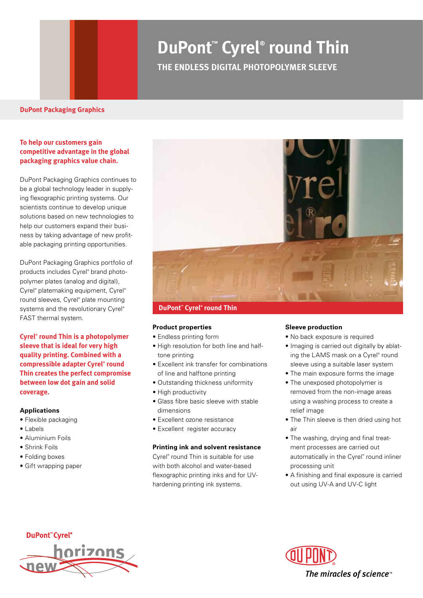# **DuPont™ Cyrel® round Thin**

**THE ENDLESS DIGITAL PHOTOPOLYMER SLEEVE**

#### **DuPont Packaging Graphics**

#### **To help our customers gain competitive advantage in the global packaging graphics value chain.**

DuPont Packaging Graphics continues to be a global technology leader in supplying flexographic printing systems. Our scientists continue to develop unique solutions based on new technologies to help our customers expand their business by taking advantage of new profitable packaging printing opportunities.

DuPont Packaging Graphics portfolio of products includes Cyrel® brand photopolymer plates (analog and digital), Cyrel® platemaking equipment, Cyrel® round sleeves, Cyrel® plate mounting systems and the revolutionary Cyrel® FAST thermal system.

**Cyrel® round Thin is a photopolymer sleeve that is ideal for very high quality printing. Combined with a compressible adapter Cyrel® round Thin creates the perfect compromise between low dot gain and solid coverage.**

#### **Applications**

- Flexible packaging
- Labels
- Aluminium Foils
- Shrink Foils
- Folding boxes
- Gift wrapping paper



**DuPont™ Cyrel® round Thin**

#### **Product properties**

- Endless printing form
- High resolution for both line and halftone printing
- Excellent ink transfer for combinations of line and halftone printing
- Outstanding thickness uniformity
- High productivity
- Glass fibre basic sleeve with stable dimensions
- Excellent ozone resistance
- Excellent register accuracy

#### **Printing ink and solvent resistance**

Cyrel® round Thin is suitable for use with both alcohol and water-based flexographic printing inks and for UVhardening printing ink systems.

#### **Sleeve production**

- No back exposure is required
- Imaging is carried out digitally by ablating the LAMS mask on a Cyrel® round sleeve using a suitable laser system
- The main exposure forms the image
- The unexposed photopolymer is removed from the non-image areas using a washing process to create a relief image
- The Thin sleeve is then dried using hot air
- The washing, drying and final treatment processes are carried out automatically in the Cyrel® round inliner processing unit
- A finishing and final exposure is carried out using UV-A and UV-C light